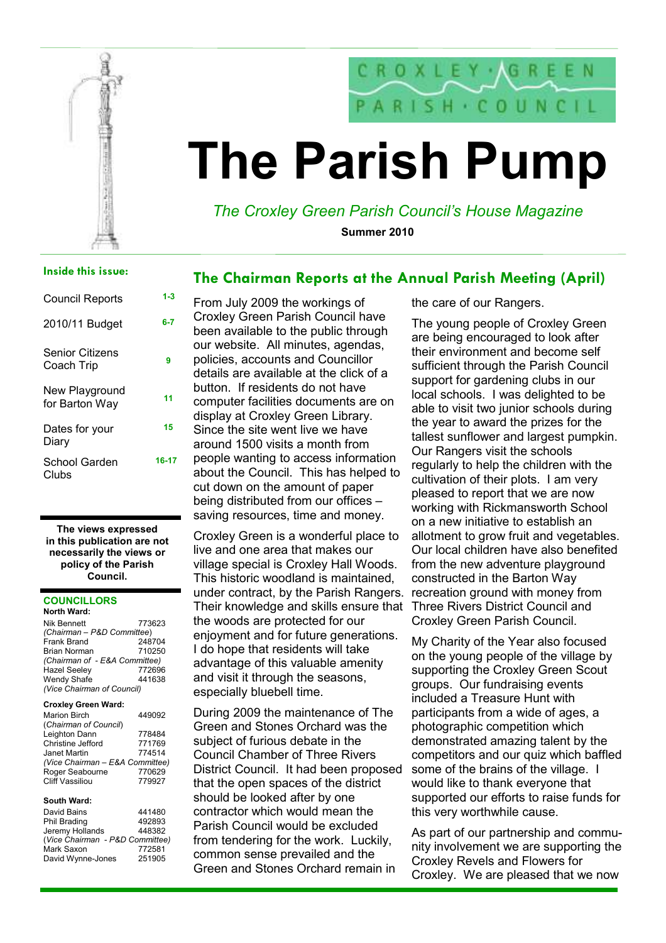

# The Parish Pump

# The Croxley Green Parish Council's House Magazine

The Chairman Reports at the Annual Parish Meeting (April)

Summer 2010

## Inside this issue:

| Council Reports                      | 1-3   |
|--------------------------------------|-------|
| 2010/11 Budget                       | 6-7   |
| <b>Senior Citizens</b><br>Coach Trip | 9     |
| New Playground<br>for Barton Way     | 11    |
| Dates for vour<br>Diarv              | 15    |
| School Garden<br>Clubs               | 16-17 |

#### The views expressed in this publication are not necessarily the views or policy of the Parish Council.

#### **COUNCILLORS** North Ward:

| <b>Nik Bennett</b>            | 773623 |
|-------------------------------|--------|
| (Chairman - P&D Committee)    |        |
| Frank Brand                   | 248704 |
| <b>Brian Norman</b>           | 710250 |
| (Chairman of - E&A Committee) |        |
| <b>Hazel Seeley</b>           | 772696 |
| Wendy Shafe                   | 441638 |
| (Vice Chairman of Council)    |        |
|                               |        |

#### Croxley Green Ward:

| <b>Marion Birch</b>             | 449092 |
|---------------------------------|--------|
| (Chairman of Council)           |        |
| Leighton Dann                   | 778484 |
| Christine Jefford               | 771769 |
| Janet Martin                    | 774514 |
| (Vice Chairman - E&A Committee) |        |
| Roger Seabourne                 | 770629 |
| <b>Cliff Vassiliou</b>          | 779927 |

#### South Ward:

| David Bains                     | 441480 |
|---------------------------------|--------|
| Phil Brading                    | 492893 |
| Jeremy Hollands                 | 448382 |
| (Vice Chairman - P&D Committee) |        |
| Mark Saxon                      | 772581 |
| David Wynne-Jones               | 251905 |

From July 2009 the workings of Croxley Green Parish Council have been available to the public through our website. All minutes, agendas, policies, accounts and Councillor details are available at the click of a button. If residents do not have computer facilities documents are on display at Croxley Green Library. Since the site went live we have around 1500 visits a month from people wanting to access information about the Council. This has helped to cut down on the amount of paper being distributed from our offices – saving resources, time and money.

Croxley Green is a wonderful place to live and one area that makes our village special is Croxley Hall Woods. This historic woodland is maintained, under contract, by the Parish Rangers. recreation ground with money from Their knowledge and skills ensure that the woods are protected for our enjoyment and for future generations. I do hope that residents will take advantage of this valuable amenity and visit it through the seasons, especially bluebell time.

During 2009 the maintenance of The Green and Stones Orchard was the subject of furious debate in the Council Chamber of Three Rivers District Council. It had been proposed that the open spaces of the district should be looked after by one contractor which would mean the Parish Council would be excluded from tendering for the work. Luckily, common sense prevailed and the Green and Stones Orchard remain in

the care of our Rangers.

The young people of Croxley Green are being encouraged to look after their environment and become self sufficient through the Parish Council support for gardening clubs in our local schools. I was delighted to be able to visit two junior schools during the year to award the prizes for the tallest sunflower and largest pumpkin. Our Rangers visit the schools regularly to help the children with the cultivation of their plots. I am very pleased to report that we are now working with Rickmansworth School on a new initiative to establish an allotment to grow fruit and vegetables. Our local children have also benefited from the new adventure playground constructed in the Barton Way Three Rivers District Council and Croxley Green Parish Council.

My Charity of the Year also focused on the young people of the village by supporting the Croxley Green Scout groups. Our fundraising events included a Treasure Hunt with participants from a wide of ages, a photographic competition which demonstrated amazing talent by the competitors and our quiz which baffled some of the brains of the village. I would like to thank everyone that supported our efforts to raise funds for this very worthwhile cause.

As part of our partnership and community involvement we are supporting the Croxley Revels and Flowers for Croxley. We are pleased that we now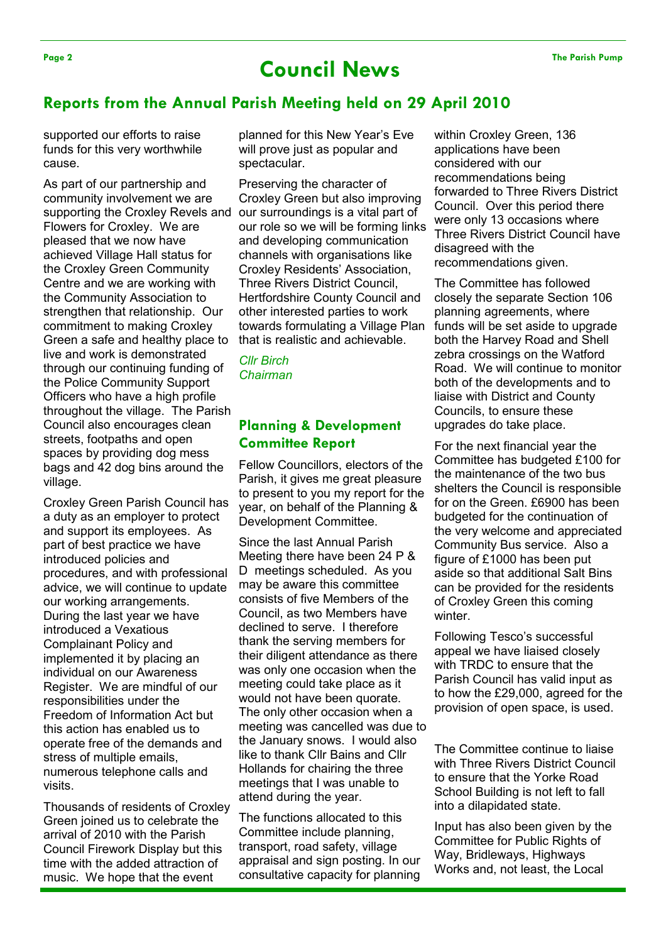# Page 2 The Parish Pump Council News

# Reports from the Annual Parish Meeting held on 29 April 2010

supported our efforts to raise funds for this very worthwhile cause.

As part of our partnership and community involvement we are supporting the Croxley Revels and Flowers for Croxley. We are pleased that we now have achieved Village Hall status for the Croxley Green Community Centre and we are working with the Community Association to strengthen that relationship. Our commitment to making Croxley Green a safe and healthy place to live and work is demonstrated through our continuing funding of the Police Community Support Officers who have a high profile throughout the village. The Parish Council also encourages clean streets, footpaths and open spaces by providing dog mess bags and 42 dog bins around the village.

Croxley Green Parish Council has a duty as an employer to protect and support its employees. As part of best practice we have introduced policies and procedures, and with professional advice, we will continue to update our working arrangements. During the last year we have introduced a Vexatious Complainant Policy and implemented it by placing an individual on our Awareness Register. We are mindful of our responsibilities under the Freedom of Information Act but this action has enabled us to operate free of the demands and stress of multiple emails, numerous telephone calls and visits.

Thousands of residents of Croxley Green joined us to celebrate the arrival of 2010 with the Parish Council Firework Display but this time with the added attraction of music. We hope that the event

planned for this New Year's Eve will prove just as popular and spectacular.

Preserving the character of Croxley Green but also improving our surroundings is a vital part of our role so we will be forming links and developing communication channels with organisations like Croxley Residents' Association, Three Rivers District Council, Hertfordshire County Council and other interested parties to work towards formulating a Village Plan that is realistic and achievable.

Cllr Birch Chairman

# Planning & Development Committee Report

Fellow Councillors, electors of the Parish, it gives me great pleasure to present to you my report for the year, on behalf of the Planning & Development Committee.

Since the last Annual Parish Meeting there have been 24 P & D meetings scheduled. As you may be aware this committee consists of five Members of the Council, as two Members have declined to serve. I therefore thank the serving members for their diligent attendance as there was only one occasion when the meeting could take place as it would not have been quorate. The only other occasion when a meeting was cancelled was due to the January snows. I would also like to thank Cllr Bains and Cllr Hollands for chairing the three meetings that I was unable to attend during the year.

The functions allocated to this Committee include planning, transport, road safety, village appraisal and sign posting. In our consultative capacity for planning within Croxley Green, 136 applications have been considered with our recommendations being forwarded to Three Rivers District Council. Over this period there were only 13 occasions where Three Rivers District Council have disagreed with the recommendations given.

The Committee has followed closely the separate Section 106 planning agreements, where funds will be set aside to upgrade both the Harvey Road and Shell zebra crossings on the Watford Road. We will continue to monitor both of the developments and to liaise with District and County Councils, to ensure these upgrades do take place.

For the next financial year the Committee has budgeted £100 for the maintenance of the two bus shelters the Council is responsible for on the Green. £6900 has been budgeted for the continuation of the very welcome and appreciated Community Bus service. Also a figure of £1000 has been put aside so that additional Salt Bins can be provided for the residents of Croxley Green this coming winter.

Following Tesco's successful appeal we have liaised closely with TRDC to ensure that the Parish Council has valid input as to how the £29,000, agreed for the provision of open space, is used.

The Committee continue to liaise with Three Rivers District Council to ensure that the Yorke Road School Building is not left to fall into a dilapidated state.

Input has also been given by the Committee for Public Rights of Way, Bridleways, Highways Works and, not least, the Local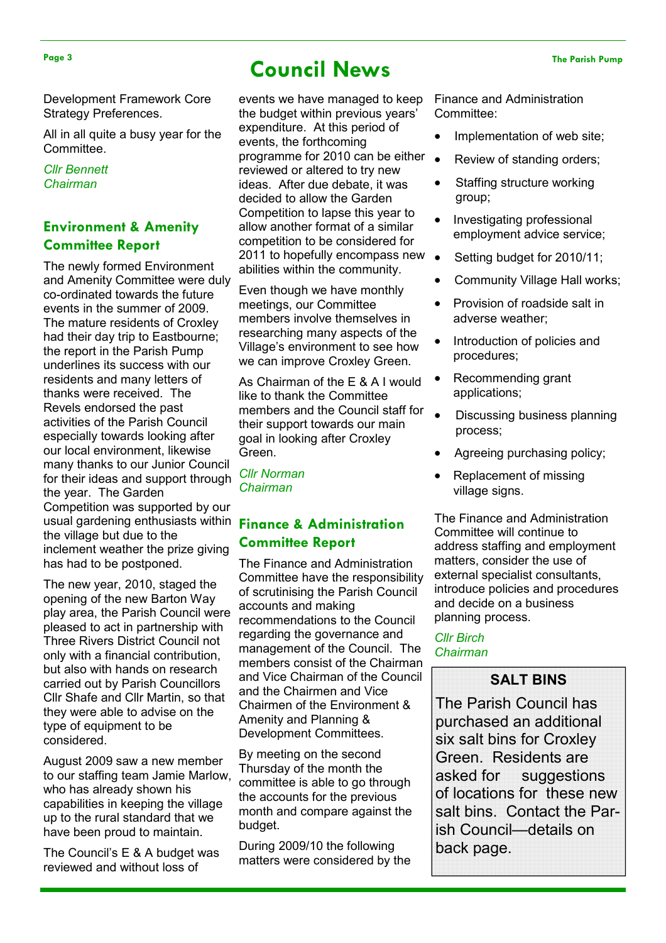#### Development Framework Core Strategy Preferences.

All in all quite a busy year for the Committee.

## Cllr Bennett Chairman

# Environment & Amenity Committee Report

The newly formed Environment and Amenity Committee were duly co-ordinated towards the future events in the summer of 2009. The mature residents of Croxley had their day trip to Eastbourne; the report in the Parish Pump underlines its success with our residents and many letters of thanks were received. The Revels endorsed the past activities of the Parish Council especially towards looking after our local environment, likewise many thanks to our Junior Council for their ideas and support through the year. The Garden Competition was supported by our usual gardening enthusiasts within Finance & Administration the village but due to the inclement weather the prize giving has had to be postponed.

The new year, 2010, staged the opening of the new Barton Way play area, the Parish Council were pleased to act in partnership with Three Rivers District Council not only with a financial contribution, but also with hands on research carried out by Parish Councillors Cllr Shafe and Cllr Martin, so that they were able to advise on the type of equipment to be considered.

August 2009 saw a new member to our staffing team Jamie Marlow, who has already shown his capabilities in keeping the village up to the rural standard that we have been proud to maintain.

The Council's E & A budget was reviewed and without loss of

# Page 3 The Parish Pump Council News

events we have managed to keep the budget within previous years' expenditure. At this period of events, the forthcoming programme for 2010 can be either reviewed or altered to try new ideas. After due debate, it was decided to allow the Garden Competition to lapse this year to allow another format of a similar competition to be considered for 2011 to hopefully encompass new  $\bullet$ abilities within the community.

Even though we have monthly meetings, our Committee members involve themselves in researching many aspects of the Village's environment to see how we can improve Croxley Green.

As Chairman of the E & A I would like to thank the Committee members and the Council staff for their support towards our main goal in looking after Croxley Green.

Cllr Norman Chairman

# Committee Report

The Finance and Administration Committee have the responsibility of scrutinising the Parish Council accounts and making recommendations to the Council regarding the governance and management of the Council. The members consist of the Chairman and Vice Chairman of the Council and the Chairmen and Vice Chairmen of the Environment & Amenity and Planning & Development Committees.

By meeting on the second Thursday of the month the committee is able to go through the accounts for the previous month and compare against the budget.

During 2009/10 the following matters were considered by the Finance and Administration Committee:

- Implementation of web site;
- Review of standing orders;
- Staffing structure working group;
- Investigating professional employment advice service;
- Setting budget for 2010/11;
- Community Village Hall works;
- Provision of roadside salt in adverse weather;
- Introduction of policies and procedures;
- Recommending grant applications;
- Discussing business planning process;
- Agreeing purchasing policy;
- Replacement of missing village signs.

The Finance and Administration Committee will continue to address staffing and employment matters, consider the use of external specialist consultants, introduce policies and procedures and decide on a business planning process.

## Cllr Birch Chairman

# SALT BINS

The Parish Council has purchased an additional six salt bins for Croxley Green. Residents are asked for suggestions of locations for these new salt bins. Contact the Parish Council—details on back page.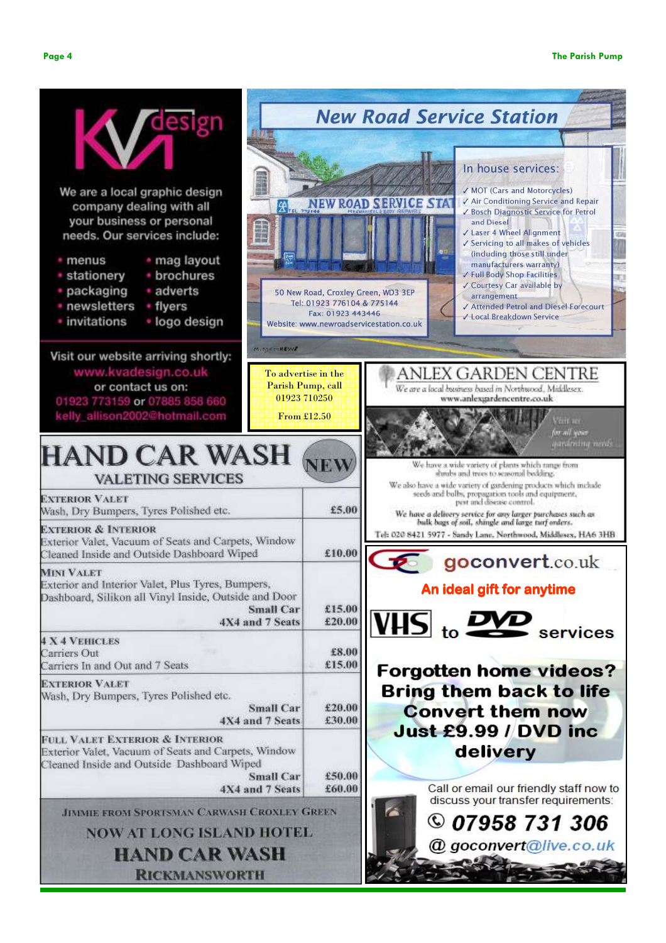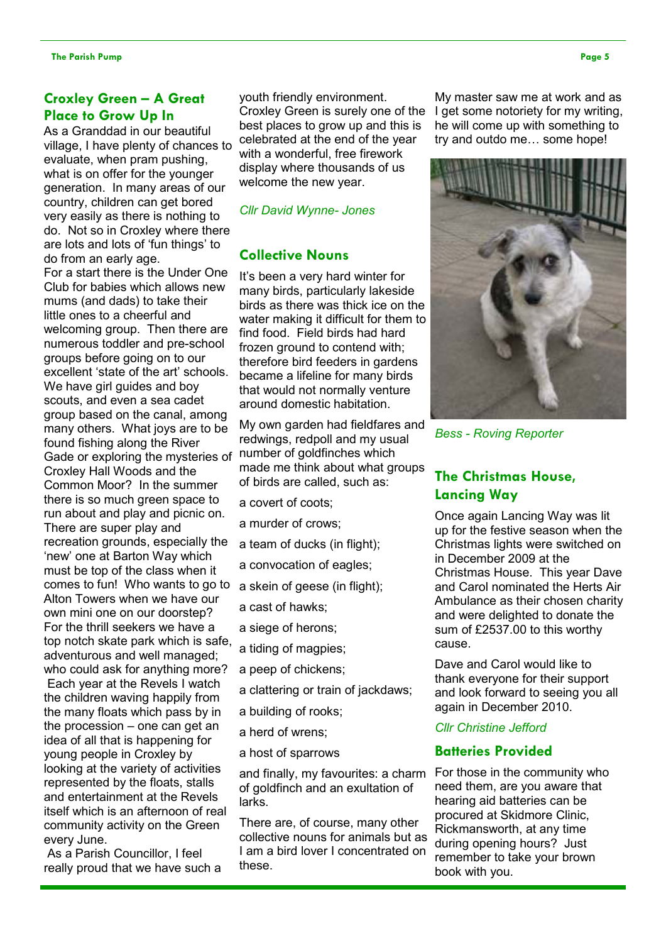# Croxley Green – A Great Place to Grow Up In

As a Granddad in our beautiful village, I have plenty of chances to evaluate, when pram pushing, what is on offer for the younger generation. In many areas of our country, children can get bored very easily as there is nothing to do. Not so in Croxley where there are lots and lots of 'fun things' to do from an early age.

For a start there is the Under One Club for babies which allows new mums (and dads) to take their little ones to a cheerful and welcoming group. Then there are numerous toddler and pre-school groups before going on to our excellent 'state of the art' schools. We have girl guides and boy scouts, and even a sea cadet group based on the canal, among many others. What joys are to be found fishing along the River Gade or exploring the mysteries of Croxley Hall Woods and the Common Moor? In the summer there is so much green space to run about and play and picnic on. There are super play and recreation grounds, especially the 'new' one at Barton Way which must be top of the class when it comes to fun! Who wants to go to Alton Towers when we have our own mini one on our doorstep? For the thrill seekers we have a top notch skate park which is safe, adventurous and well managed; who could ask for anything more? Each year at the Revels I watch the children waving happily from the many floats which pass by in the procession – one can get an idea of all that is happening for young people in Croxley by looking at the variety of activities represented by the floats, stalls and entertainment at the Revels itself which is an afternoon of real community activity on the Green every June.

 As a Parish Councillor, I feel really proud that we have such a youth friendly environment. Croxley Green is surely one of the best places to grow up and this is celebrated at the end of the year with a wonderful, free firework display where thousands of us welcome the new year.

## Cllr David Wynne- Jones

## Collective Nouns

It's been a very hard winter for many birds, particularly lakeside birds as there was thick ice on the water making it difficult for them to find food. Field birds had hard frozen ground to contend with; therefore bird feeders in gardens became a lifeline for many birds that would not normally venture around domestic habitation.

My own garden had fieldfares and redwings, redpoll and my usual number of goldfinches which made me think about what groups of birds are called, such as:

- a covert of coots;
- a murder of crows;
- a team of ducks (in flight);
- a convocation of eagles;
- a skein of geese (in flight);
- a cast of hawks;
- a siege of herons;
- a tiding of magpies;
- a peep of chickens;
- a clattering or train of jackdaws;
- a building of rooks;
- a herd of wrens;
- a host of sparrows

and finally, my favourites: a charm of goldfinch and an exultation of larks.

There are, of course, many other collective nouns for animals but as I am a bird lover I concentrated on these.

My master saw me at work and as I get some notoriety for my writing, he will come up with something to try and outdo me… some hope!



Bess - Roving Reporter

# The Christmas House, Lancing Way

Once again Lancing Way was lit up for the festive season when the Christmas lights were switched on in December 2009 at the Christmas House. This year Dave and Carol nominated the Herts Air Ambulance as their chosen charity and were delighted to donate the sum of £2537.00 to this worthy cause.

Dave and Carol would like to thank everyone for their support and look forward to seeing you all again in December 2010.

## Cllr Christine Jefford

## Batteries Provided

For those in the community who need them, are you aware that hearing aid batteries can be procured at Skidmore Clinic, Rickmansworth, at any time during opening hours? Just remember to take your brown book with you.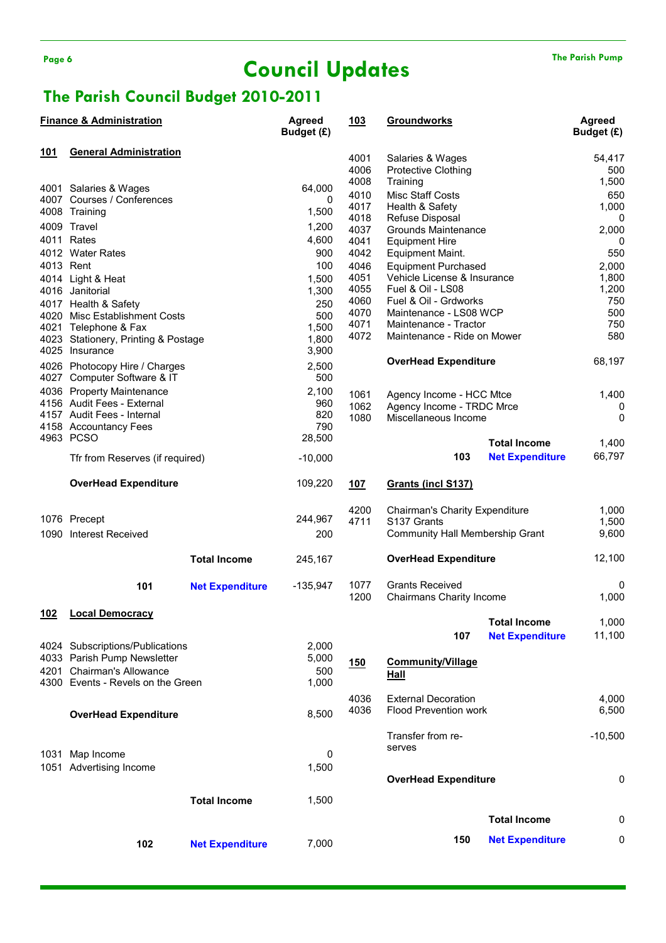# Page 6 The Parish Pump Council Updates The Parish Pump

# The Parish Council Budget 2010-2011

|     | <b>Finance &amp; Administration</b>                     |                        | <b>Agreed</b><br>Budget (£) | <u> 103</u>  | <b>Groundworks</b>                                        |                        | <b>Agreed</b><br>Budget (£) |
|-----|---------------------------------------------------------|------------------------|-----------------------------|--------------|-----------------------------------------------------------|------------------------|-----------------------------|
| 101 | <b>General Administration</b>                           |                        |                             |              |                                                           |                        |                             |
|     |                                                         |                        |                             | 4001<br>4006 | Salaries & Wages<br><b>Protective Clothing</b>            |                        | 54,417<br>500               |
|     |                                                         |                        |                             | 4008         | Training                                                  |                        | 1,500                       |
|     | 4001 Salaries & Wages                                   |                        | 64,000                      | 4010         | <b>Misc Staff Costs</b>                                   |                        | 650                         |
|     | 4007 Courses / Conferences                              |                        | 0                           | 4017         | Health & Safety                                           |                        | 1,000                       |
|     | 4008 Training                                           |                        | 1,500                       | 4018         | Refuse Disposal                                           |                        | 0                           |
|     | 4009 Travel                                             |                        | 1,200                       | 4037         | Grounds Maintenance                                       |                        | 2,000                       |
|     | 4011 Rates                                              |                        | 4,600                       | 4041         | <b>Equipment Hire</b>                                     |                        | 0                           |
|     | 4012 Water Rates                                        |                        | 900                         | 4042         | Equipment Maint.                                          |                        | 550                         |
|     | 4013 Rent                                               |                        | 100                         | 4046         | <b>Equipment Purchased</b>                                |                        | 2,000                       |
|     | 4014 Light & Heat                                       |                        | 1,500                       | 4051         | Vehicle License & Insurance                               |                        | 1,800                       |
|     | 4016 Janitorial                                         |                        | 1,300                       | 4055         | Fuel & Oil - LS08                                         |                        | 1,200                       |
|     | 4017 Health & Safety                                    |                        | 250                         | 4060<br>4070 | Fuel & Oil - Grdworks<br>Maintenance - LS08 WCP           |                        | 750<br>500                  |
|     | 4020 Misc Establishment Costs                           |                        | 500                         | 4071         | Maintenance - Tractor                                     |                        | 750                         |
|     | 4021 Telephone & Fax                                    |                        | 1,500<br>1,800              | 4072         | Maintenance - Ride on Mower                               |                        | 580                         |
|     | 4023 Stationery, Printing & Postage<br>4025 Insurance   |                        | 3,900                       |              |                                                           |                        |                             |
|     |                                                         |                        |                             |              | <b>OverHead Expenditure</b>                               |                        | 68,197                      |
|     | 4026 Photocopy Hire / Charges                           |                        | 2,500<br>500                |              |                                                           |                        |                             |
|     | 4027 Computer Software & IT                             |                        |                             |              |                                                           |                        |                             |
|     | 4036 Property Maintenance<br>4156 Audit Fees - External |                        | 2,100<br>960                | 1061         | Agency Income - HCC Mtce                                  |                        | 1,400                       |
|     | 4157 Audit Fees - Internal                              |                        | 820                         | 1062         | Agency Income - TRDC Mrce                                 |                        | 0                           |
|     | 4158 Accountancy Fees                                   |                        | 790                         | 1080         | Miscellaneous Income                                      |                        | 0                           |
|     | 4963 PCSO                                               |                        | 28,500                      |              |                                                           |                        |                             |
|     |                                                         |                        |                             |              |                                                           | <b>Total Income</b>    | 1,400                       |
|     | Tfr from Reserves (if required)                         |                        | $-10,000$                   |              | 103                                                       | <b>Net Expenditure</b> | 66,797                      |
|     | <b>OverHead Expenditure</b>                             |                        | 109,220                     | 107          | Grants (incl S137)                                        |                        |                             |
|     |                                                         |                        |                             | 4200         | Chairman's Charity Expenditure                            |                        | 1,000                       |
|     | 1076 Precept                                            |                        | 244,967                     | 4711         | S <sub>137</sub> Grants                                   |                        | 1,500                       |
|     | 1090 Interest Received                                  |                        | 200                         |              | Community Hall Membership Grant                           |                        | 9,600                       |
|     |                                                         | <b>Total Income</b>    | 245,167                     |              | <b>OverHead Expenditure</b>                               |                        | 12,100                      |
|     |                                                         |                        |                             |              |                                                           |                        |                             |
|     | 101                                                     | <b>Net Expenditure</b> | $-135,947$                  | 1077<br>1200 | <b>Grants Received</b><br><b>Chairmans Charity Income</b> |                        | 0<br>1,000                  |
|     |                                                         |                        |                             |              |                                                           |                        |                             |
| 102 | <b>Local Democracy</b>                                  |                        |                             |              |                                                           | <b>Total Income</b>    | 1,000                       |
|     |                                                         |                        |                             |              | 107                                                       | <b>Net Expenditure</b> | 11,100                      |
|     | 4024 Subscriptions/Publications                         |                        | 2,000                       |              |                                                           |                        |                             |
|     | 4033 Parish Pump Newsletter                             |                        | 5,000                       |              |                                                           |                        |                             |
|     | 4201 Chairman's Allowance                               |                        | 500                         | <u>150</u>   | <b>Community/Village</b><br>Hall                          |                        |                             |
|     | 4300 Events - Revels on the Green                       |                        | 1,000                       |              |                                                           |                        |                             |
|     |                                                         |                        |                             | 4036         | <b>External Decoration</b>                                |                        | 4,000                       |
|     |                                                         |                        |                             | 4036         | <b>Flood Prevention work</b>                              |                        | 6,500                       |
|     | <b>OverHead Expenditure</b>                             |                        | 8,500                       |              |                                                           |                        |                             |
|     |                                                         |                        |                             |              | Transfer from re-<br>serves                               |                        | $-10,500$                   |
|     | 1031 Map Income                                         |                        | 0                           |              |                                                           |                        |                             |
|     | 1051 Advertising Income                                 |                        | 1,500                       |              |                                                           |                        |                             |
|     |                                                         |                        |                             |              | <b>OverHead Expenditure</b>                               |                        | 0                           |
|     |                                                         | <b>Total Income</b>    | 1,500                       |              |                                                           |                        |                             |
|     |                                                         |                        |                             |              |                                                           | <b>Total Income</b>    | 0                           |
|     |                                                         |                        |                             |              |                                                           |                        |                             |
|     | 102                                                     | <b>Net Expenditure</b> | 7,000                       |              | 150                                                       | <b>Net Expenditure</b> | 0                           |
|     |                                                         |                        |                             |              |                                                           |                        |                             |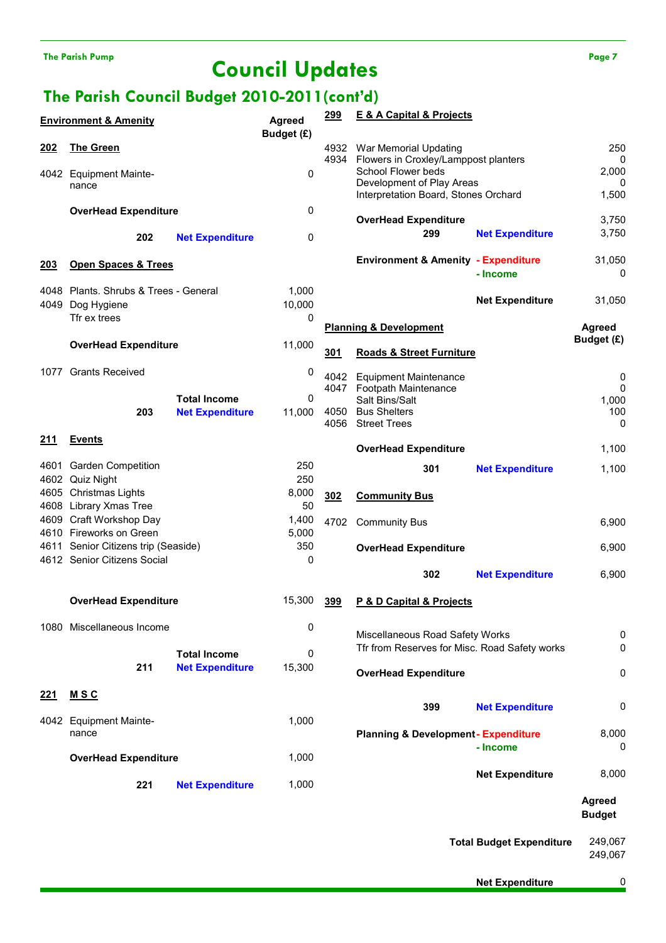# The Parish Pump Page 7 Page 7

# The Parish Council Budget 2010-2011(cont'd)

|             | <b>Environment &amp; Amenity</b>                |     |                        | <b>Agreed</b><br>Budget (£) | <u>299</u> | <b>E &amp; A Capital &amp; Projects</b>                            |                                 |                         |
|-------------|-------------------------------------------------|-----|------------------------|-----------------------------|------------|--------------------------------------------------------------------|---------------------------------|-------------------------|
| 202         | <b>The Green</b>                                |     |                        |                             | 4932       | War Memorial Updating<br>4934 Flowers in Croxley/Lamppost planters |                                 | 250<br>0                |
|             | 4042 Equipment Mainte-                          |     |                        | 0                           |            | School Flower beds<br>Development of Play Areas                    |                                 | 2,000                   |
|             | nance                                           |     |                        |                             |            | Interpretation Board, Stones Orchard                               |                                 | 0<br>1,500              |
|             | <b>OverHead Expenditure</b>                     |     |                        | 0                           |            | <b>OverHead Expenditure</b>                                        |                                 | 3,750                   |
|             |                                                 | 202 | <b>Net Expenditure</b> | 0                           |            | 299                                                                | <b>Net Expenditure</b>          | 3,750                   |
| 203         | <b>Open Spaces &amp; Trees</b>                  |     |                        |                             |            | <b>Environment &amp; Amenity - Expenditure</b>                     | - Income                        | 31,050<br>0             |
|             | 4048 Plants. Shrubs & Trees - General           |     |                        | 1,000                       |            |                                                                    |                                 |                         |
| 4049        | Dog Hygiene                                     |     |                        | 10,000                      |            |                                                                    | <b>Net Expenditure</b>          | 31,050                  |
|             | Tfr ex trees                                    |     |                        | 0                           |            | <b>Planning &amp; Development</b>                                  |                                 | <b>Agreed</b>           |
|             | <b>OverHead Expenditure</b>                     |     |                        | 11,000                      | 301        | <b>Roads &amp; Street Furniture</b>                                |                                 | Budget (£)              |
|             | 1077 Grants Received                            |     |                        | 0                           | 4042       | <b>Equipment Maintenance</b>                                       |                                 | 0                       |
|             |                                                 |     | <b>Total Income</b>    | $\mathbf 0$                 |            | 4047 Footpath Maintenance                                          |                                 | $\mathbf 0$             |
|             |                                                 | 203 | <b>Net Expenditure</b> | 11,000                      |            | Salt Bins/Salt<br>4050 Bus Shelters                                |                                 | 1,000<br>100            |
|             |                                                 |     |                        |                             | 4056       | <b>Street Trees</b>                                                |                                 | 0                       |
| <u>211</u>  | <b>Events</b>                                   |     |                        |                             |            | <b>OverHead Expenditure</b>                                        |                                 | 1,100                   |
|             | 4601 Garden Competition                         |     |                        | 250                         |            | 301                                                                | <b>Net Expenditure</b>          | 1,100                   |
|             | 4602 Quiz Night                                 |     |                        | 250                         |            |                                                                    |                                 |                         |
|             | 4605 Christmas Lights<br>4608 Library Xmas Tree |     |                        | 8,000<br>50                 | 302        | <b>Community Bus</b>                                               |                                 |                         |
|             | 4609 Craft Workshop Day                         |     |                        | 1,400                       | 4702       | <b>Community Bus</b>                                               |                                 | 6,900                   |
|             | 4610 Fireworks on Green                         |     |                        | 5,000                       |            |                                                                    |                                 |                         |
|             | 4611 Senior Citizens trip (Seaside)             |     |                        | 350                         |            | <b>OverHead Expenditure</b>                                        |                                 | 6,900                   |
|             | 4612 Senior Citizens Social                     |     |                        | 0                           |            | 302                                                                | <b>Net Expenditure</b>          | 6,900                   |
|             | <b>OverHead Expenditure</b>                     |     |                        | 15,300                      | 399        | P & D Capital & Projects                                           |                                 |                         |
|             |                                                 |     |                        |                             |            |                                                                    |                                 |                         |
|             | 1080 Miscellaneous Income                       |     |                        | 0                           |            | Miscellaneous Road Safety Works                                    |                                 | 0                       |
|             |                                                 |     | <b>Total Income</b>    | 0                           |            | Tfr from Reserves for Misc. Road Safety works                      |                                 | 0                       |
|             |                                                 | 211 | <b>Net Expenditure</b> | 15,300                      |            | <b>OverHead Expenditure</b>                                        |                                 | 0                       |
| <u> 221</u> | <u>MSC</u>                                      |     |                        |                             |            |                                                                    |                                 |                         |
|             |                                                 |     |                        |                             |            | 399                                                                | <b>Net Expenditure</b>          | 0                       |
|             | 4042 Equipment Mainte-<br>nance                 |     |                        | 1,000                       |            | <b>Planning &amp; Development-Expenditure</b>                      |                                 | 8,000                   |
|             |                                                 |     |                        |                             |            |                                                                    | - Income                        | 0                       |
|             | <b>OverHead Expenditure</b>                     |     |                        | 1,000                       |            |                                                                    |                                 |                         |
|             |                                                 | 221 | <b>Net Expenditure</b> | 1,000                       |            |                                                                    | <b>Net Expenditure</b>          | 8,000                   |
|             |                                                 |     |                        |                             |            |                                                                    |                                 | Agreed<br><b>Budget</b> |
|             |                                                 |     |                        |                             |            |                                                                    | <b>Total Budget Expenditure</b> | 249,067<br>249,067      |

Net Expenditure 0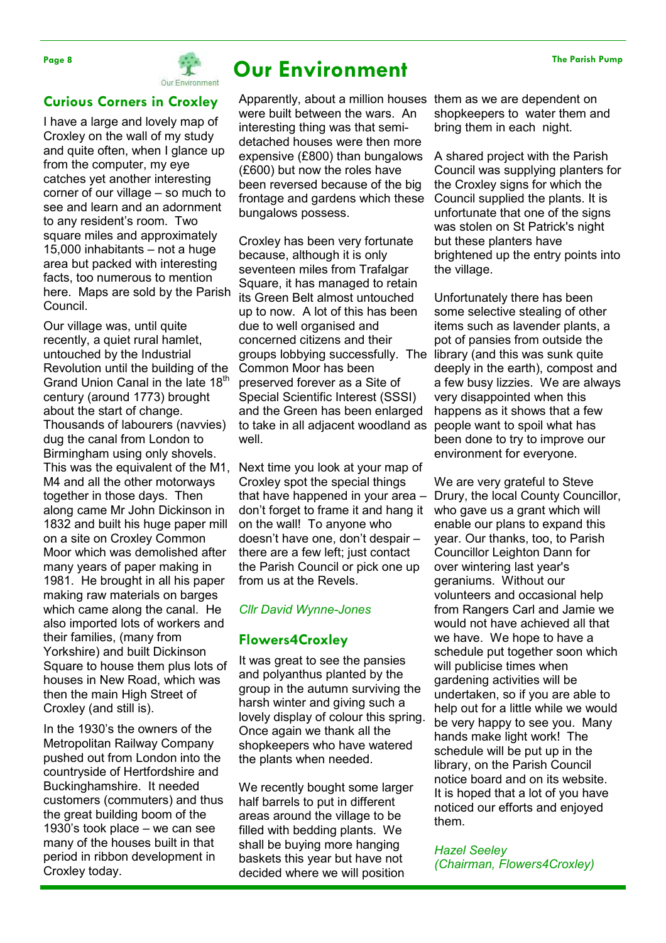

# Page 8 **Our Environment**

Curious Corners in Croxley

I have a large and lovely map of Croxley on the wall of my study and quite often, when I glance up from the computer, my eye catches yet another interesting corner of our village – so much to see and learn and an adornment to any resident's room. Two square miles and approximately 15,000 inhabitants – not a huge area but packed with interesting facts, too numerous to mention here. Maps are sold by the Parish Council.

Our village was, until quite recently, a quiet rural hamlet, untouched by the Industrial Revolution until the building of the Grand Union Canal in the late 18<sup>th</sup> century (around 1773) brought about the start of change. Thousands of labourers (navvies) dug the canal from London to Birmingham using only shovels. This was the equivalent of the M1, M4 and all the other motorways together in those days. Then along came Mr John Dickinson in 1832 and built his huge paper mill on a site on Croxley Common Moor which was demolished after many years of paper making in 1981. He brought in all his paper making raw materials on barges which came along the canal. He also imported lots of workers and their families, (many from Yorkshire) and built Dickinson Square to house them plus lots of houses in New Road, which was then the main High Street of Croxley (and still is).

In the 1930's the owners of the Metropolitan Railway Company pushed out from London into the countryside of Hertfordshire and Buckinghamshire. It needed customers (commuters) and thus the great building boom of the 1930's took place – we can see many of the houses built in that period in ribbon development in Croxley today.

Apparently, about a million houses them as we are dependent on were built between the wars. An interesting thing was that semidetached houses were then more expensive (£800) than bungalows (£600) but now the roles have been reversed because of the big frontage and gardens which these bungalows possess.

Croxley has been very fortunate because, although it is only seventeen miles from Trafalgar Square, it has managed to retain its Green Belt almost untouched up to now. A lot of this has been due to well organised and concerned citizens and their groups lobbying successfully. The Common Moor has been preserved forever as a Site of Special Scientific Interest (SSSI) and the Green has been enlarged to take in all adjacent woodland as well.

Next time you look at your map of Croxley spot the special things that have happened in your area – don't forget to frame it and hang it on the wall! To anyone who doesn't have one, don't despair – there are a few left; just contact the Parish Council or pick one up from us at the Revels.

## Cllr David Wynne-Jones

## Flowers4Croxley

It was great to see the pansies and polyanthus planted by the group in the autumn surviving the harsh winter and giving such a lovely display of colour this spring. Once again we thank all the shopkeepers who have watered the plants when needed.

We recently bought some larger half barrels to put in different areas around the village to be filled with bedding plants. We shall be buying more hanging baskets this year but have not decided where we will position

shopkeepers to water them and bring them in each night.

A shared project with the Parish Council was supplying planters for the Croxley signs for which the Council supplied the plants. It is unfortunate that one of the signs was stolen on St Patrick's night but these planters have brightened up the entry points into the village.

Unfortunately there has been some selective stealing of other items such as lavender plants, a pot of pansies from outside the library (and this was sunk quite deeply in the earth), compost and a few busy lizzies. We are always very disappointed when this happens as it shows that a few people want to spoil what has been done to try to improve our environment for everyone.

We are very grateful to Steve Drury, the local County Councillor, who gave us a grant which will enable our plans to expand this year. Our thanks, too, to Parish Councillor Leighton Dann for over wintering last year's geraniums. Without our volunteers and occasional help from Rangers Carl and Jamie we would not have achieved all that we have. We hope to have a schedule put together soon which will publicise times when gardening activities will be undertaken, so if you are able to help out for a little while we would be very happy to see you. Many hands make light work! The schedule will be put up in the library, on the Parish Council notice board and on its website. It is hoped that a lot of you have noticed our efforts and enjoyed them.

#### Hazel Seeley

(Chairman, Flowers4Croxley)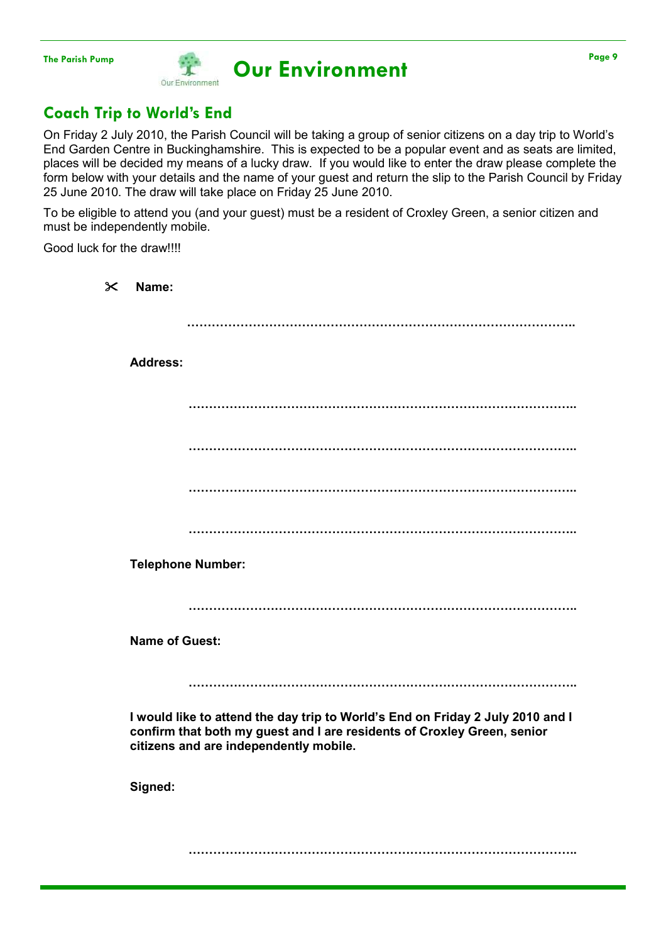# The Parish Pump Page 9<br>
Our Environment Our Environment

# Coach Trip to World's End

On Friday 2 July 2010, the Parish Council will be taking a group of senior citizens on a day trip to World's End Garden Centre in Buckinghamshire. This is expected to be a popular event and as seats are limited, places will be decided my means of a lucky draw. If you would like to enter the draw please complete the form below with your details and the name of your guest and return the slip to the Parish Council by Friday 25 June 2010. The draw will take place on Friday 25 June 2010.

To be eligible to attend you (and your guest) must be a resident of Croxley Green, a senior citizen and must be independently mobile.

Good luck for the draw!!!!

| $\boldsymbol{\times}$ | Name:                 |                                                                                                                                                                                                     |
|-----------------------|-----------------------|-----------------------------------------------------------------------------------------------------------------------------------------------------------------------------------------------------|
|                       |                       |                                                                                                                                                                                                     |
|                       | <b>Address:</b>       |                                                                                                                                                                                                     |
|                       |                       |                                                                                                                                                                                                     |
|                       |                       |                                                                                                                                                                                                     |
|                       |                       |                                                                                                                                                                                                     |
|                       |                       |                                                                                                                                                                                                     |
|                       |                       | <b>Telephone Number:</b>                                                                                                                                                                            |
|                       |                       |                                                                                                                                                                                                     |
|                       | <b>Name of Guest:</b> |                                                                                                                                                                                                     |
|                       |                       |                                                                                                                                                                                                     |
|                       |                       | I would like to attend the day trip to World's End on Friday 2 July 2010 and I<br>confirm that both my guest and I are residents of Croxley Green, senior<br>citizens and are independently mobile. |
|                       | Signed:               |                                                                                                                                                                                                     |
|                       |                       |                                                                                                                                                                                                     |
|                       |                       |                                                                                                                                                                                                     |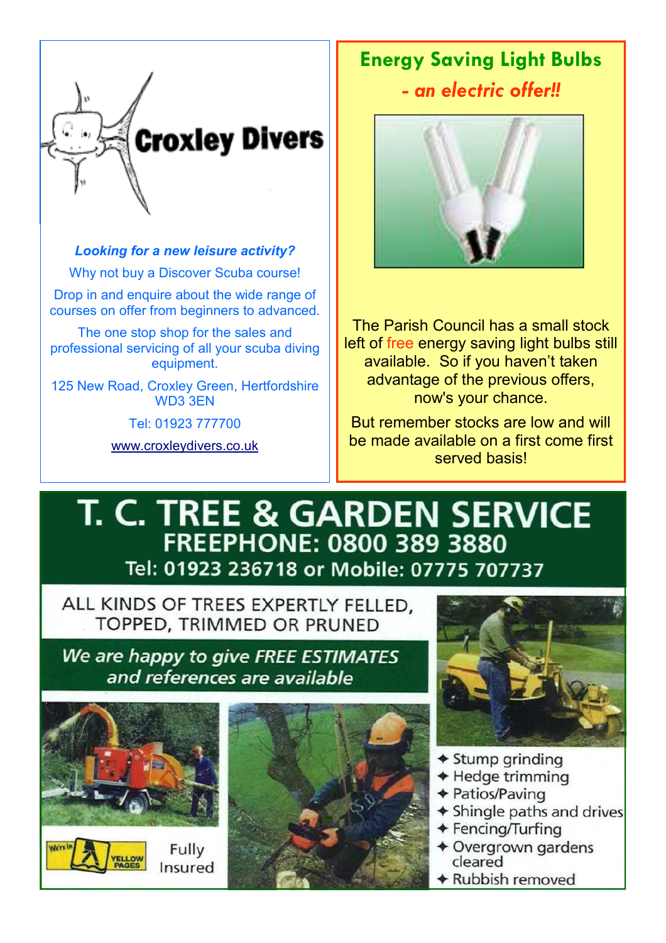

# Looking for a new leisure activity?

Why not buy a Discover Scuba course!

Drop in and enquire about the wide range of courses on offer from beginners to advanced.

The one stop shop for the sales and professional servicing of all your scuba diving equipment.

125 New Road, Croxley Green, Hertfordshire WD3 3EN

Tel: 01923 777700

www.croxleydivers.co.uk

# Energy Saving Light Bulbs - an electric offer!!



The Parish Council has a small stock left of free energy saving light bulbs still available. So if you haven't taken advantage of the previous offers, now's your chance.

But remember stocks are low and will be made available on a first come first served basis!

# **T. C. TREE & GARDEN SERVICE FREEPHONE: 0800 389 3880** Tel: 01923 236718 or Mobile: 07775 707737

ALL KINDS OF TREES EXPERTLY FELLED, TOPPED, TRIMMED OR PRUNED

We are happy to give FREE ESTIMATES and references are available



Insured





- $\triangle$  Stump grinding
- ◆ Hedge trimming
- ◆ Patios/Paving
- ◆ Shingle paths and drives
- ◆ Fencing/Turfing
- ◆ Overgrown gardens cleared
- Rubbish removed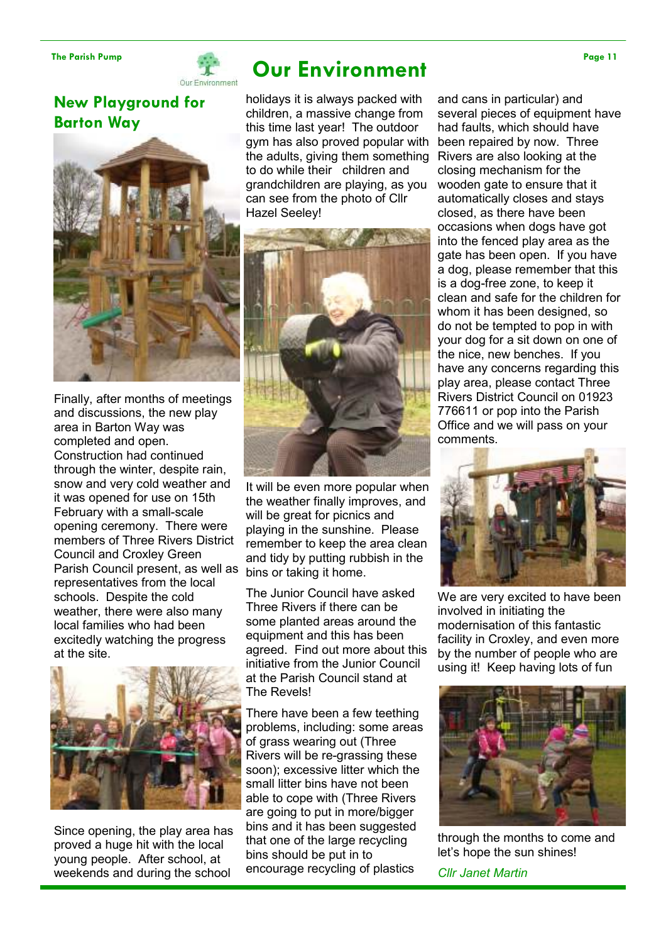

# The Parish Pump Page 11

New Playground for Barton Way



Finally, after months of meetings and discussions, the new play area in Barton Way was completed and open. Construction had continued through the winter, despite rain, snow and very cold weather and it was opened for use on 15th February with a small-scale opening ceremony. There were members of Three Rivers District Council and Croxley Green Parish Council present, as well as representatives from the local schools. Despite the cold weather, there were also many local families who had been excitedly watching the progress at the site.



Since opening, the play area has proved a huge hit with the local young people. After school, at weekends and during the school

holidays it is always packed with children, a massive change from this time last year! The outdoor gym has also proved popular with been repaired by now. Three the adults, giving them something to do while their children and grandchildren are playing, as you can see from the photo of Cllr Hazel Seeley!



It will be even more popular when the weather finally improves, and will be great for picnics and playing in the sunshine. Please remember to keep the area clean and tidy by putting rubbish in the bins or taking it home.

The Junior Council have asked Three Rivers if there can be some planted areas around the equipment and this has been agreed. Find out more about this initiative from the Junior Council at the Parish Council stand at The Revels!

There have been a few teething problems, including: some areas of grass wearing out (Three Rivers will be re-grassing these soon); excessive litter which the small litter bins have not been able to cope with (Three Rivers are going to put in more/bigger bins and it has been suggested that one of the large recycling bins should be put in to encourage recycling of plastics

and cans in particular) and several pieces of equipment have had faults, which should have Rivers are also looking at the closing mechanism for the wooden gate to ensure that it automatically closes and stays closed, as there have been occasions when dogs have got into the fenced play area as the gate has been open. If you have a dog, please remember that this is a dog-free zone, to keep it clean and safe for the children for whom it has been designed, so do not be tempted to pop in with your dog for a sit down on one of the nice, new benches. If you have any concerns regarding this play area, please contact Three Rivers District Council on 01923 776611 or pop into the Parish Office and we will pass on your comments.



We are very excited to have been involved in initiating the modernisation of this fantastic facility in Croxley, and even more by the number of people who are using it! Keep having lots of fun



through the months to come and let's hope the sun shines!

Cllr Janet Martin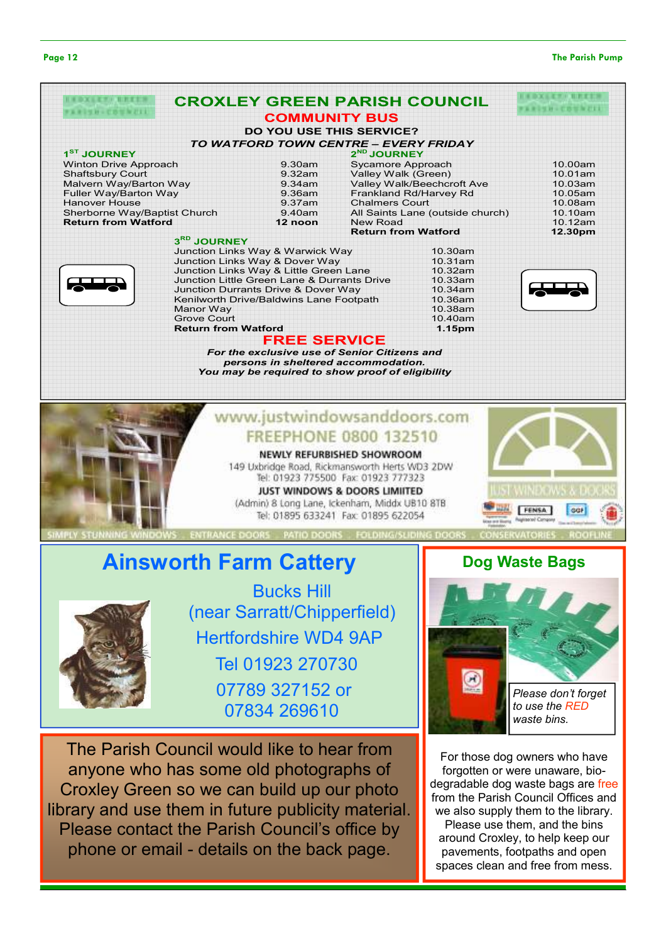#### Page 12 The Parish Pump

|                              | <b>CROXLEY GREEN PARISH COUNCIL</b>                                                                                                     |                            |                                  |          |
|------------------------------|-----------------------------------------------------------------------------------------------------------------------------------------|----------------------------|----------------------------------|----------|
|                              | <b>COMMUNITY BUS</b>                                                                                                                    |                            |                                  | <b>.</b> |
|                              | <b>DO YOU USE THIS SERVICE?</b>                                                                                                         |                            |                                  |          |
|                              | TO WATFORD TOWN CENTRE - EVERY FRIDAY                                                                                                   |                            |                                  |          |
| 1 <sup>ST</sup> JOURNEY      |                                                                                                                                         | $2ND$ JOURNEY              |                                  |          |
| <b>Winton Drive Approach</b> | 9.30am                                                                                                                                  | Sycamore Approach          |                                  | 10.00am  |
| <b>Shaftsbury Court</b>      | 9.32am                                                                                                                                  | Valley Walk (Green)        |                                  | 10.01am  |
| Malvern Way/Barton Way       | 9.34am                                                                                                                                  |                            | Valley Walk/Beechcroft Ave       | 10.03am  |
| Fuller Way/Barton Way        | 9.36am                                                                                                                                  |                            | Frankland Rd/Harvey Rd           | 10.05am  |
| <b>Hanover House</b>         | 9.37am                                                                                                                                  | <b>Chalmers Court</b>      |                                  | 10.08am  |
| Sherborne Way/Baptist Church | 9.40am                                                                                                                                  |                            | All Saints Lane (outside church) | 10.10am  |
| <b>Return from Watford</b>   | 12 noon                                                                                                                                 | <b>New Road</b>            |                                  | 10.12am  |
|                              |                                                                                                                                         | <b>Return from Watford</b> |                                  | 12.30pm  |
| 3RD JOURNEY                  |                                                                                                                                         |                            |                                  |          |
|                              | Junction Links Way & Warwick Way                                                                                                        |                            | 10.30am                          |          |
|                              | Junction Links Way & Dover Way                                                                                                          |                            | 10.31am                          |          |
|                              | Junction Links Way & Little Green Lane                                                                                                  |                            | 10.32am                          |          |
|                              | Junction Little Green Lane & Durrants Drive                                                                                             | 10.33am                    |                                  |          |
|                              | Junction Durrants Drive & Dover Way                                                                                                     |                            | 10.34am                          |          |
|                              | Kenilworth Drive/Baldwins Lane Footpath                                                                                                 |                            | 10.36am                          |          |
| Manor Way                    |                                                                                                                                         |                            | 10.38am                          |          |
| <b>Grove Court</b>           |                                                                                                                                         | 10.40am                    |                                  |          |
|                              | <b>Return from Watford</b>                                                                                                              |                            | 1.15pm                           |          |
|                              | <b>FREE SERVICE</b>                                                                                                                     |                            |                                  |          |
|                              | For the exclusive use of Senior Citizens and<br>persons in sheltered accommodation.<br>You may be required to show proof of eligibility |                            |                                  |          |
|                              | www.justwindowsanddoors.com                                                                                                             |                            |                                  |          |
|                              | <b>FREEPHONE 0800 132510</b>                                                                                                            |                            |                                  |          |
|                              | NEWLY REFURBISHED SHOWROOM                                                                                                              |                            |                                  |          |
|                              | 149 Uxbridge Road, Rickmansworth Herts WD3 2DW                                                                                          |                            |                                  |          |
|                              |                                                                                                                                         |                            |                                  |          |
|                              | Tel: 01923 775500 Fax: 01923 777323                                                                                                     |                            |                                  |          |
|                              | JUST WINDOWS & DOORS LIMIITED                                                                                                           |                            |                                  |          |
|                              | (Admin) 8 Long Lane, Ickenham, Middx UB10 8TB                                                                                           |                            |                                  |          |

Tel: 01895 633241 Fax: 01895 622054

Ainsworth Farm Cattery



Bucks Hill (near Sarratt/Chipperfield) Hertfordshire WD4 9AP Tel 01923 270730 07789 327152 or 07834 269610

The Parish Council would like to hear from anyone who has some old photographs of Croxley Green so we can build up our photo library and use them in future publicity material. Please contact the Parish Council's office by phone or email - details on the back page.

# Dog Waste Bags

**FENSA** 

**GG** 



For those dog owners who have forgotten or were unaware, biodegradable dog waste bags are free from the Parish Council Offices and we also supply them to the library. Please use them, and the bins around Croxley, to help keep our pavements, footpaths and open spaces clean and free from mess.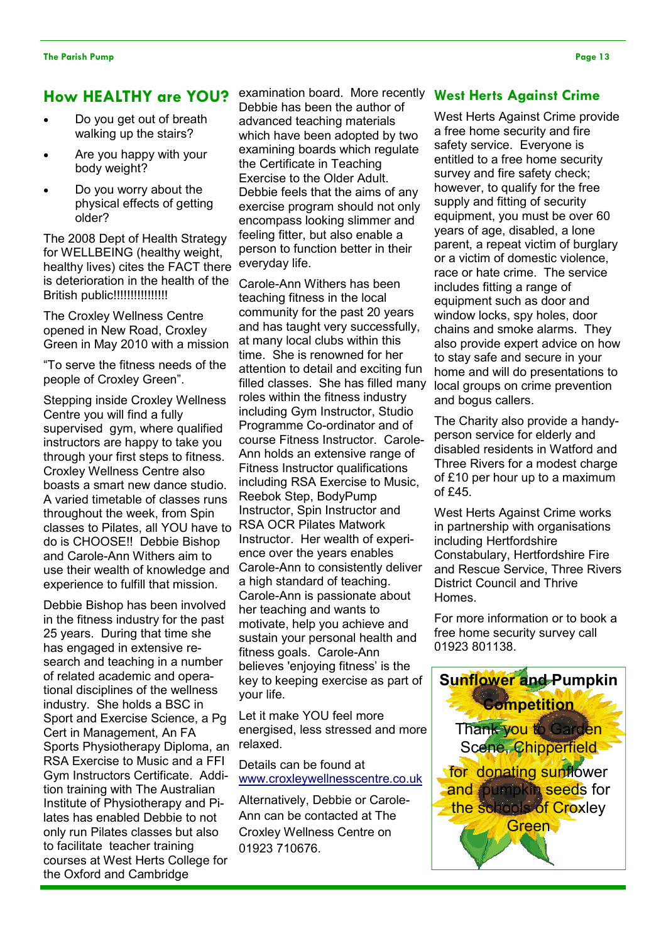# How HEALTHY are YOU?

- Do you get out of breath walking up the stairs?
- Are you happy with your body weight?
- Do you worry about the physical effects of getting older?

The 2008 Dept of Health Strategy for WELLBEING (healthy weight, healthy lives) cites the FACT there is deterioration in the health of the British public!!!!!!!!!!!!!!!!

The Croxley Wellness Centre opened in New Road, Croxley Green in May 2010 with a mission

"To serve the fitness needs of the people of Croxley Green".

Stepping inside Croxley Wellness Centre you will find a fully supervised gym, where qualified instructors are happy to take you through your first steps to fitness. Croxley Wellness Centre also boasts a smart new dance studio. A varied timetable of classes runs throughout the week, from Spin classes to Pilates, all YOU have to do is CHOOSE!! Debbie Bishop and Carole-Ann Withers aim to use their wealth of knowledge and experience to fulfill that mission.

Debbie Bishop has been involved in the fitness industry for the past 25 years. During that time she has engaged in extensive research and teaching in a number of related academic and operational disciplines of the wellness industry. She holds a BSC in Sport and Exercise Science, a Pg Cert in Management, An FA Sports Physiotherapy Diploma, an RSA Exercise to Music and a FFI Gym Instructors Certificate. Addition training with The Australian Institute of Physiotherapy and Pilates has enabled Debbie to not only run Pilates classes but also to facilitate teacher training courses at West Herts College for the Oxford and Cambridge

examination board. More recently West Herts Against Crime Debbie has been the author of advanced teaching materials which have been adopted by two examining boards which regulate the Certificate in Teaching Exercise to the Older Adult. Debbie feels that the aims of any exercise program should not only encompass looking slimmer and feeling fitter, but also enable a person to function better in their everyday life.

Carole-Ann Withers has been teaching fitness in the local community for the past 20 years and has taught very successfully, at many local clubs within this time. She is renowned for her attention to detail and exciting fun filled classes. She has filled many roles within the fitness industry including Gym Instructor, Studio Programme Co-ordinator and of course Fitness Instructor. Carole-Ann holds an extensive range of Fitness Instructor qualifications including RSA Exercise to Music, Reebok Step, BodyPump Instructor, Spin Instructor and RSA OCR Pilates Matwork Instructor. Her wealth of experience over the years enables Carole-Ann to consistently deliver a high standard of teaching. Carole-Ann is passionate about her teaching and wants to motivate, help you achieve and sustain your personal health and fitness goals. Carole-Ann believes 'enjoying fitness' is the key to keeping exercise as part of your life.

Let it make YOU feel more energised, less stressed and more relaxed.

Details can be found at www.croxleywellnesscentre.co.uk

Alternatively, Debbie or Carole-Ann can be contacted at The Croxley Wellness Centre on 01923 710676.

West Herts Against Crime provide a free home security and fire safety service. Everyone is entitled to a free home security survey and fire safety check; however, to qualify for the free supply and fitting of security equipment, you must be over 60 years of age, disabled, a lone parent, a repeat victim of burglary or a victim of domestic violence, race or hate crime. The service includes fitting a range of equipment such as door and window locks, spy holes, door chains and smoke alarms. They also provide expert advice on how to stay safe and secure in your home and will do presentations to local groups on crime prevention and bogus callers.

The Charity also provide a handyperson service for elderly and disabled residents in Watford and Three Rivers for a modest charge of £10 per hour up to a maximum of £45.

West Herts Against Crime works in partnership with organisations including Hertfordshire Constabulary, Hertfordshire Fire and Rescue Service, Three Rivers District Council and Thrive Homes.

For more information or to book a free home security survey call 01923 801138.

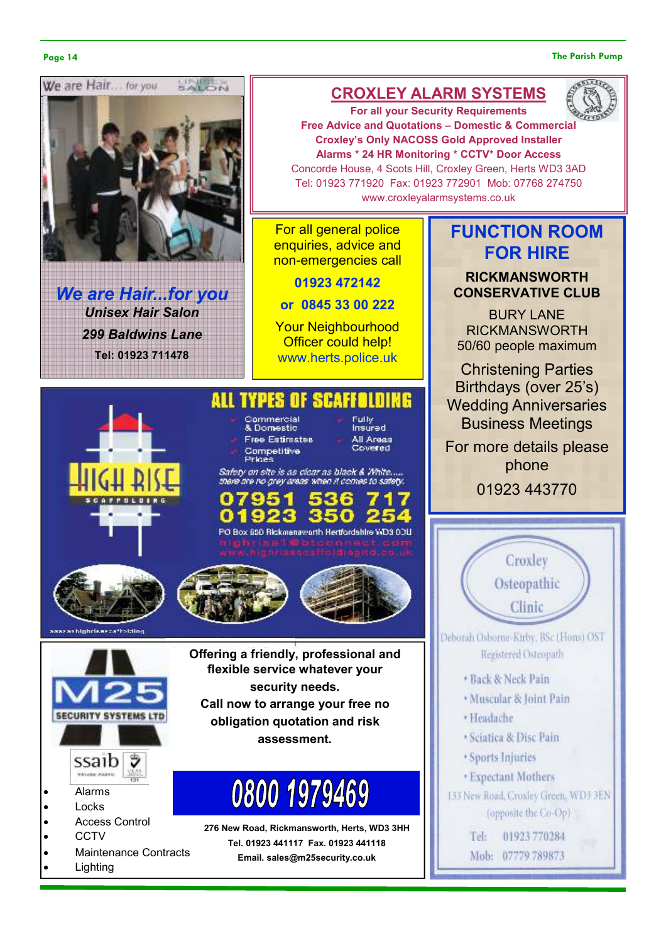#### Page 14 The Parish Pump



We are Hair...for you Unisex Hair Salon 299 Baldwins Lane Tel: 01923 711478

# CROXLEY ALARM SYSTEMS



For all your Security Requirements Free Advice and Quotations – Domestic & Commercial Croxley's Only NACOSS Gold Approved Installer Alarms \* 24 HR Monitoring \* CCTV\* Door Access Concorde House, 4 Scots Hill, Croxley Green, Herts WD3 3AD Tel: 01923 771920 Fax: 01923 772901 Mob: 07768 274750 www.croxleyalarmsystems.co.uk

For all general police enquiries, advice and non-emergencies call

01923 472142

or 0845 33 00 222

Your Neighbourhood **Officer could help!** www.herts.police.uk

Fully<br>Insured

All Areas<br>Covered

#### **ALL TYPES** SEAFFI HINE

Commercial

& Domestic **Free Estimates** Competitive<br>Prices

Safety on site is as clear as black & White. there are no grey areas when it comes to sat

PO Box 650 Rickmanaworth Hertfordshire WD3 00U







- Alarms
- Locks
- Access Control
- CCTV
- Maintenance Contracts
- **Lighting**

Offering a friendly, professional and flexible service whatever your security needs. Call now to arrange your free no obligation quotation and risk assessment.

# 0800 1979469

276 New Road, Rickmansworth, Herts, WD3 3HH Tel. 01923 441117 Fax. 01923 441118 Email. sales@m25security.co.uk

# FUNCTION ROOM FOR HIRE

RICKMANSWORTH CONSERVATIVE CLUB

BURY LANE RICKMANSWORTH 50/60 people maximum

Christening Parties Birthdays (over 25's) Wedding Anniversaries Business Meetings

For more details please phone

01923 443770



- · Sports Injuries
- **Expectant Mothers**

133 New Road, Croxley Green, WD3 3EN (opposite the Co-Op)

> Tel: 01923 770284 Mob: 07779 789873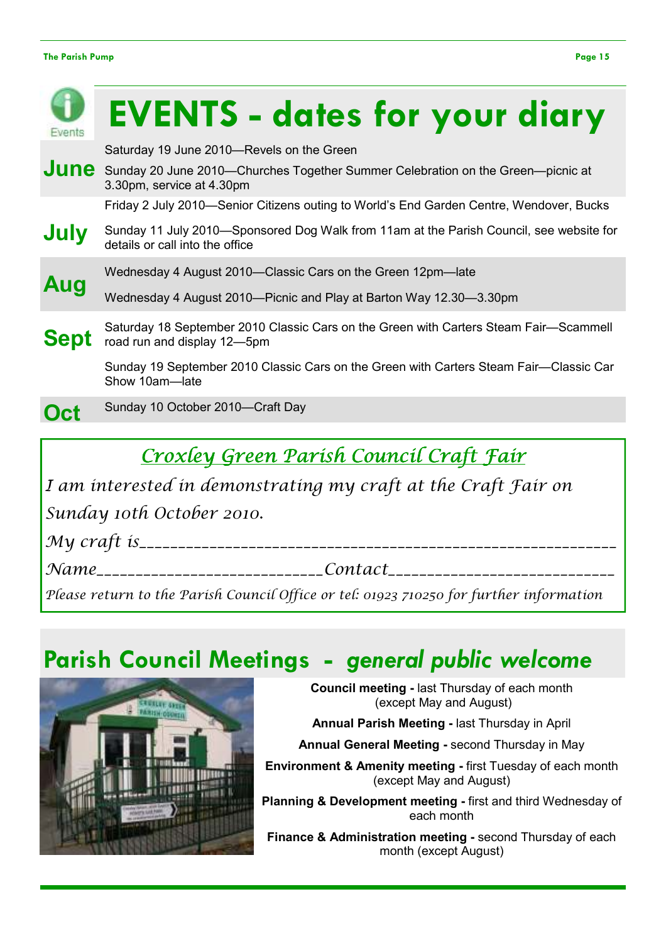| Events      | <b>EVENTS - dates for your diary</b>                                                                                       |
|-------------|----------------------------------------------------------------------------------------------------------------------------|
|             | Saturday 19 June 2010-Revels on the Green                                                                                  |
| June        | Sunday 20 June 2010—Churches Together Summer Celebration on the Green—picnic at<br>3.30pm, service at 4.30pm               |
|             | Friday 2 July 2010—Senior Citizens outing to World's End Garden Centre, Wendover, Bucks                                    |
| July        | Sunday 11 July 2010—Sponsored Dog Walk from 11am at the Parish Council, see website for<br>details or call into the office |
|             | Wednesday 4 August 2010-Classic Cars on the Green 12pm-late                                                                |
| Aug         | Wednesday 4 August 2010—Picnic and Play at Barton Way 12.30—3.30pm                                                         |
| <b>Sept</b> | Saturday 18 September 2010 Classic Cars on the Green with Carters Steam Fair—Scammell<br>road run and display 12-5pm       |
|             | Sunday 19 September 2010 Classic Cars on the Green with Carters Steam Fair—Classic Car<br>Show 10am-late                   |
| Oct         | Sunday 10 October 2010-Craft Day                                                                                           |
|             |                                                                                                                            |

# Croxley Green Parish Council Craft Fair

I am interested in demonstrating my craft at the Craft Fair on

Sunday 10th October 2010.

My craft is\_\_\_\_\_\_\_\_\_\_\_\_\_\_\_\_\_\_\_\_\_\_\_\_\_\_\_\_\_\_\_\_\_\_\_\_\_\_\_\_\_\_\_\_\_\_\_\_\_\_\_\_\_\_\_\_\_\_\_\_\_

Name\_\_\_\_\_\_\_\_\_\_\_\_\_\_\_\_\_\_\_\_\_\_\_\_\_\_\_\_\_Contact\_\_\_\_\_\_\_\_\_\_\_\_\_\_\_\_\_\_\_\_\_\_\_\_\_\_\_\_\_

Please return to the Parish Council Office or tel: 01923 710250 for further information

# Parish Council Meetings - general public welcome



Council meeting - last Thursday of each month (except May and August)

Annual Parish Meeting - last Thursday in April

Annual General Meeting - second Thursday in May

Environment & Amenity meeting - first Tuesday of each month (except May and August)

Planning & Development meeting - first and third Wednesday of each month

Finance & Administration meeting - second Thursday of each month (except August)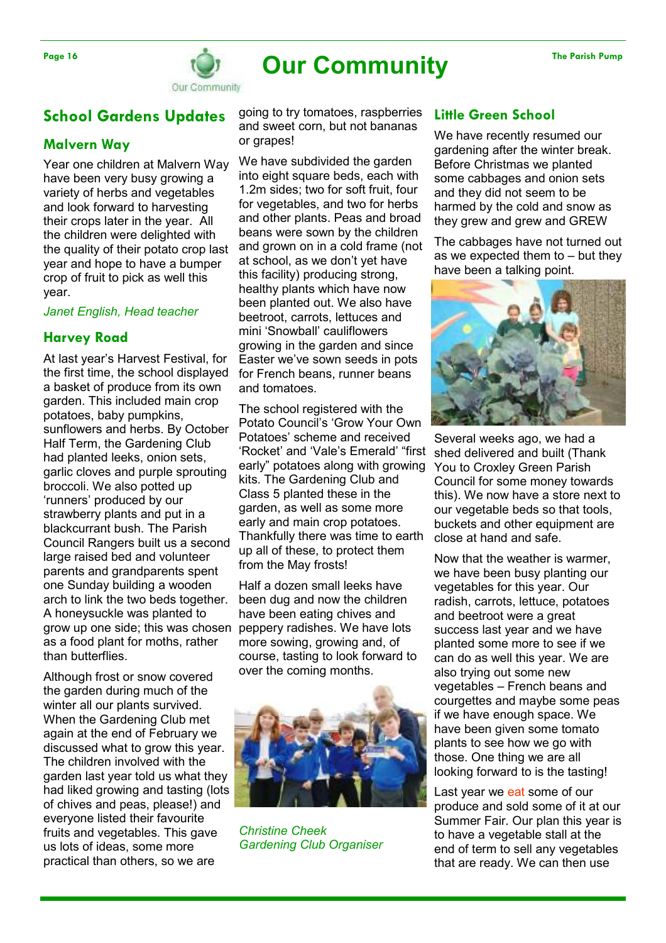

# Page 16 The Parish Pump Our Community The Parish Pump

Our Community

# School Gardens Updates

## Malvern Way

Year one children at Malvern Way have been very busy growing a variety of herbs and vegetables and look forward to harvesting their crops later in the year. All the children were delighted with the quality of their potato crop last year and hope to have a bumper crop of fruit to pick as well this year.

#### Janet English, Head teacher

## Harvey Road

At last year's Harvest Festival, for the first time, the school displayed a basket of produce from its own garden. This included main crop potatoes, baby pumpkins, sunflowers and herbs. By October Half Term, the Gardening Club had planted leeks, onion sets, garlic cloves and purple sprouting broccoli. We also potted up 'runners' produced by our strawberry plants and put in a blackcurrant bush. The Parish Council Rangers built us a second large raised bed and volunteer parents and grandparents spent one Sunday building a wooden arch to link the two beds together. A honeysuckle was planted to grow up one side; this was chosen as a food plant for moths, rather than butterflies.

Although frost or snow covered the garden during much of the winter all our plants survived. When the Gardening Club met again at the end of February we discussed what to grow this year. The children involved with the garden last year told us what they had liked growing and tasting (lots of chives and peas, please!) and everyone listed their favourite fruits and vegetables. This gave us lots of ideas, some more practical than others, so we are

going to try tomatoes, raspberries and sweet corn, but not bananas or grapes!

We have subdivided the garden into eight square beds, each with 1.2m sides; two for soft fruit, four for vegetables, and two for herbs and other plants. Peas and broad beans were sown by the children and grown on in a cold frame (not at school, as we don't yet have this facility) producing strong, healthy plants which have now been planted out. We also have beetroot, carrots, lettuces and mini 'Snowball' cauliflowers growing in the garden and since Easter we've sown seeds in pots for French beans, runner beans and tomatoes.

The school registered with the Potato Council's 'Grow Your Own Potatoes' scheme and received 'Rocket' and 'Vale's Emerald' "first early" potatoes along with growing kits. The Gardening Club and Class 5 planted these in the garden, as well as some more early and main crop potatoes. Thankfully there was time to earth up all of these, to protect them from the May frosts!

Half a dozen small leeks have been dug and now the children have been eating chives and peppery radishes. We have lots more sowing, growing and, of course, tasting to look forward to over the coming months.



Christine Cheek Gardening Club Organiser

## Little Green School

We have recently resumed our gardening after the winter break. Before Christmas we planted some cabbages and onion sets and they did not seem to be harmed by the cold and snow as they grew and grew and GREW

The cabbages have not turned out as we expected them to – but they have been a talking point.



Several weeks ago, we had a shed delivered and built (Thank You to Croxley Green Parish Council for some money towards this). We now have a store next to our vegetable beds so that tools, buckets and other equipment are close at hand and safe.

Now that the weather is warmer, we have been busy planting our vegetables for this year. Our radish, carrots, lettuce, potatoes and beetroot were a great success last year and we have planted some more to see if we can do as well this year. We are also trying out some new vegetables – French beans and courgettes and maybe some peas if we have enough space. We have been given some tomato plants to see how we go with those. One thing we are all looking forward to is the tasting!

Last year we eat some of our produce and sold some of it at our Summer Fair. Our plan this year is to have a vegetable stall at the end of term to sell any vegetables that are ready. We can then use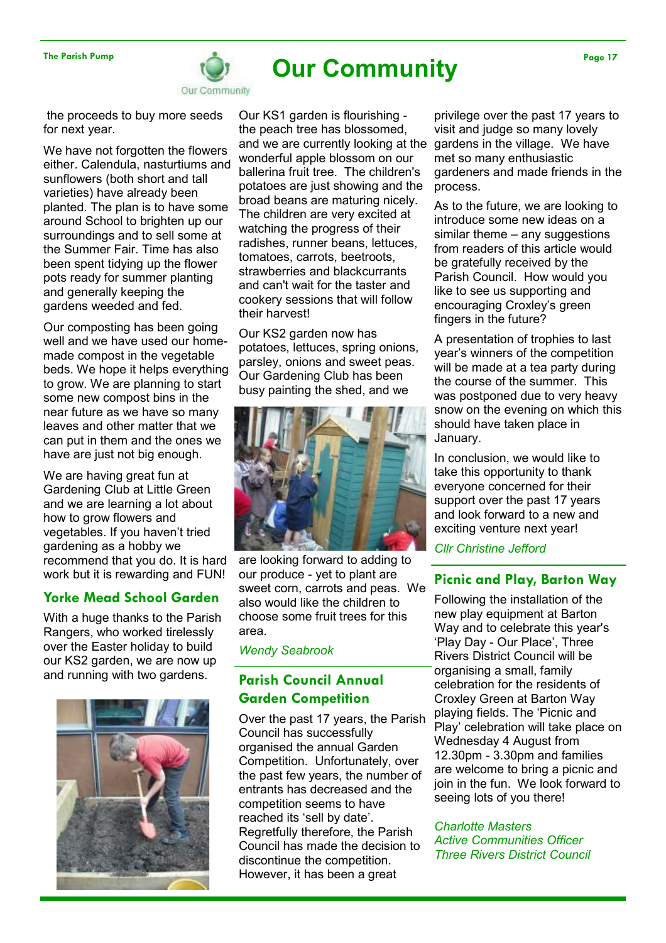

# The Parish Pump Page 17 Community

 the proceeds to buy more seeds for next year.

We have not forgotten the flowers either. Calendula, nasturtiums and sunflowers (both short and tall varieties) have already been planted. The plan is to have some around School to brighten up our surroundings and to sell some at the Summer Fair. Time has also been spent tidying up the flower pots ready for summer planting and generally keeping the gardens weeded and fed.

Our composting has been going well and we have used our homemade compost in the vegetable beds. We hope it helps everything to grow. We are planning to start some new compost bins in the near future as we have so many leaves and other matter that we can put in them and the ones we have are just not big enough.

We are having great fun at Gardening Club at Little Green and we are learning a lot about how to grow flowers and vegetables. If you haven't tried gardening as a hobby we recommend that you do. It is hard work but it is rewarding and FUN!

# Yorke Mead School Garden

With a huge thanks to the Parish Rangers, who worked tirelessly over the Easter holiday to build our KS2 garden, we are now up and running with two gardens.



Our KS1 garden is flourishing the peach tree has blossomed, and we are currently looking at the wonderful apple blossom on our ballerina fruit tree. The children's potatoes are just showing and the broad beans are maturing nicely. The children are very excited at watching the progress of their radishes, runner beans, lettuces, tomatoes, carrots, beetroots, strawberries and blackcurrants and can't wait for the taster and cookery sessions that will follow their harvest!

Our KS2 garden now has potatoes, lettuces, spring onions, parsley, onions and sweet peas. Our Gardening Club has been busy painting the shed, and we



are looking forward to adding to our produce - yet to plant are sweet corn, carrots and peas. We also would like the children to choose some fruit trees for this area.

Wendy Seabrook

# Parish Council Annual Garden Competition

Over the past 17 years, the Parish Council has successfully organised the annual Garden Competition. Unfortunately, over the past few years, the number of entrants has decreased and the competition seems to have reached its 'sell by date'. Regretfully therefore, the Parish Council has made the decision to discontinue the competition. However, it has been a great

privilege over the past 17 years to visit and judge so many lovely gardens in the village. We have met so many enthusiastic gardeners and made friends in the process.

As to the future, we are looking to introduce some new ideas on a similar theme – any suggestions from readers of this article would be gratefully received by the Parish Council. How would you like to see us supporting and encouraging Croxley's green fingers in the future?

A presentation of trophies to last year's winners of the competition will be made at a tea party during the course of the summer. This was postponed due to very heavy snow on the evening on which this should have taken place in January.

In conclusion, we would like to take this opportunity to thank everyone concerned for their support over the past 17 years and look forward to a new and exciting venture next year!

Cllr Christine Jefford

# Picnic and Play, Barton Way

Following the installation of the new play equipment at Barton Way and to celebrate this year's 'Play Day - Our Place', Three Rivers District Council will be organising a small, family celebration for the residents of Croxley Green at Barton Way playing fields. The 'Picnic and Play' celebration will take place on Wednesday 4 August from 12.30pm - 3.30pm and families are welcome to bring a picnic and join in the fun. We look forward to seeing lots of you there!

Charlotte Masters Active Communities Officer Three Rivers District Council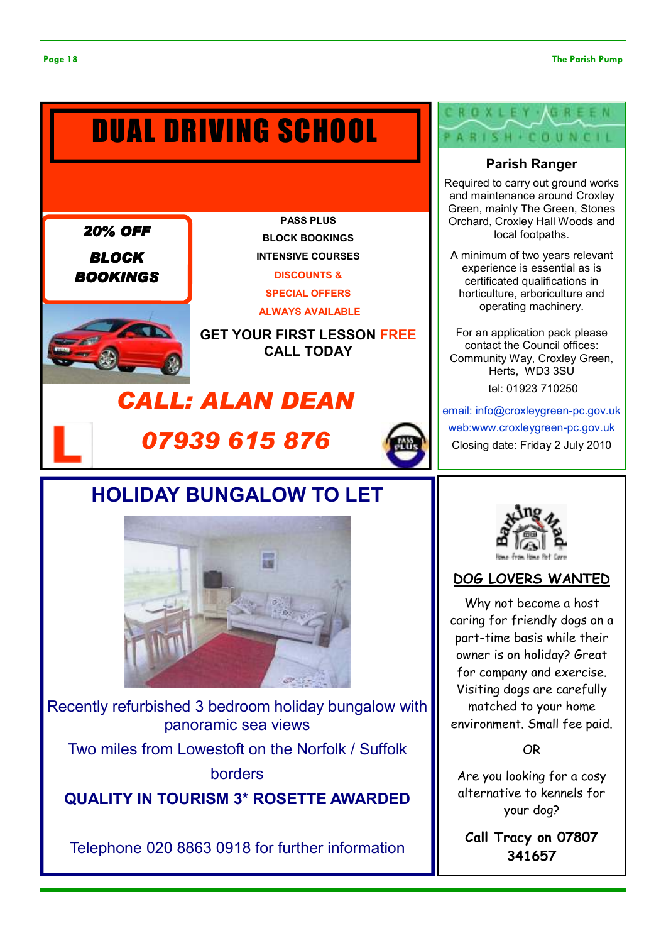# DISCOUNTS & SPECIAL OFFERS PASS PLUS BLOCK BOOKINGS INTENSIVE COURSES DUAL DRIVING SCHOOL 20% OFF BLOCK **BOOKINGS**



ALWAYS AVAILABLE

GET YOUR FIRST LESSON FREE CALL TODAY

# CALL: ALAN DEAN





# HOLIDAY BUNGALOW TO LET



Recently refurbished 3 bedroom holiday bungalow with panoramic sea views

Two miles from Lowestoft on the Norfolk / Suffolk borders

QUALITY IN TOURISM 3\* ROSETTE AWARDED

Telephone 020 8863 0918 for further information

# H . COUNCIL

# Parish Ranger

Required to carry out ground works and maintenance around Croxley Green, mainly The Green, Stones Orchard, Croxley Hall Woods and local footpaths.

A minimum of two years relevant experience is essential as is certificated qualifications in horticulture, arboriculture and operating machinery.

For an application pack please contact the Council offices: Community Way, Croxley Green, Herts, WD3 3SU tel: 01923 710250

email: info@croxleygreen-pc.gov.uk web:www.croxleygreen-pc.gov.uk Closing date: Friday 2 July 2010



# DOG LOVERS WANTED

Why not become a host caring for friendly dogs on a part-time basis while their owner is on holiday? Great for company and exercise. Visiting dogs are carefully matched to your home environment. Small fee paid.

OR

Are you looking for a cosy alternative to kennels for your dog?

Call Tracy on 07807 341657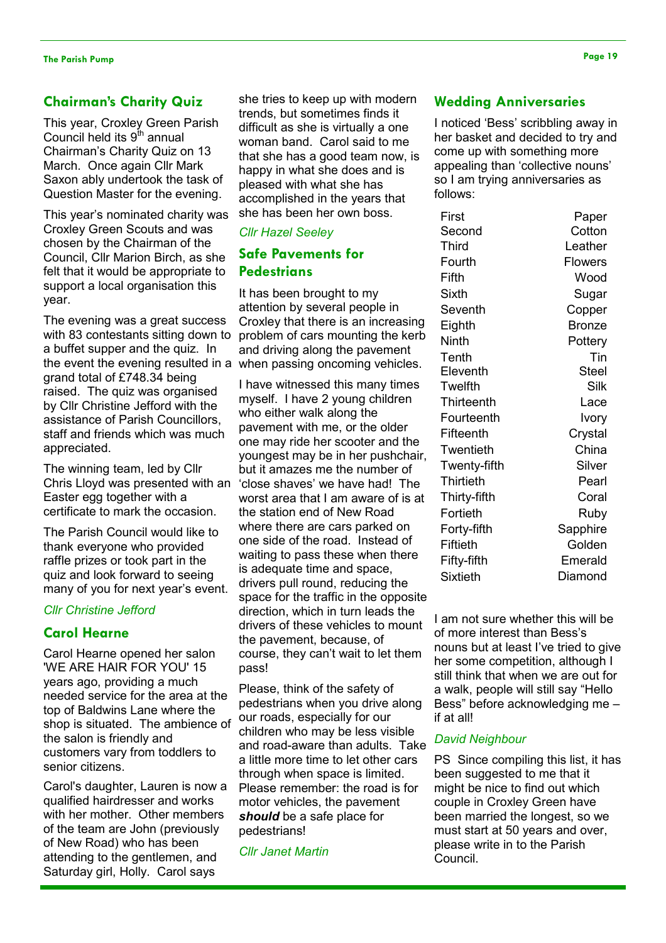# Chairman's Charity Quiz

This year, Croxley Green Parish Council held its  $9<sup>th</sup>$  annual Chairman's Charity Quiz on 13 March. Once again Cllr Mark Saxon ably undertook the task of Question Master for the evening.

This year's nominated charity was Croxley Green Scouts and was chosen by the Chairman of the Council, Cllr Marion Birch, as she felt that it would be appropriate to support a local organisation this year.

The evening was a great success with 83 contestants sitting down to a buffet supper and the quiz. In the event the evening resulted in a grand total of £748.34 being raised. The quiz was organised by Cllr Christine Jefford with the assistance of Parish Councillors, staff and friends which was much appreciated.

The winning team, led by Cllr Chris Lloyd was presented with an Easter egg together with a certificate to mark the occasion.

The Parish Council would like to thank everyone who provided raffle prizes or took part in the quiz and look forward to seeing many of you for next year's event.

### Cllr Christine Jefford

## Carol Hearne

Carol Hearne opened her salon 'WE ARE HAIR FOR YOU' 15 years ago, providing a much needed service for the area at the top of Baldwins Lane where the shop is situated. The ambience of the salon is friendly and customers vary from toddlers to senior citizens.

Carol's daughter, Lauren is now a qualified hairdresser and works with her mother. Other members of the team are John (previously of New Road) who has been attending to the gentlemen, and Saturday girl, Holly. Carol says

she tries to keep up with modern trends, but sometimes finds it difficult as she is virtually a one woman band. Carol said to me that she has a good team now, is happy in what she does and is pleased with what she has accomplished in the years that she has been her own boss.

## Cllr Hazel Seeley

# Safe Pavements for **Pedestrians**

It has been brought to my attention by several people in Croxley that there is an increasing problem of cars mounting the kerb and driving along the pavement when passing oncoming vehicles.

I have witnessed this many times myself. I have 2 young children who either walk along the pavement with me, or the older one may ride her scooter and the youngest may be in her pushchair, but it amazes me the number of 'close shaves' we have had! The worst area that I am aware of is at the station end of New Road where there are cars parked on one side of the road. Instead of waiting to pass these when there is adequate time and space, drivers pull round, reducing the space for the traffic in the opposite direction, which in turn leads the drivers of these vehicles to mount the pavement, because, of course, they can't wait to let them pass!

Please, think of the safety of pedestrians when you drive along our roads, especially for our children who may be less visible and road-aware than adults. Take a little more time to let other cars through when space is limited. Please remember: the road is for motor vehicles, the pavement should be a safe place for pedestrians!

Cllr Janet Martin

## Wedding Anniversaries

I noticed 'Bess' scribbling away in her basket and decided to try and come up with something more appealing than 'collective nouns' so I am trying anniversaries as follows:

| First        | Paper          |
|--------------|----------------|
| Second       | Cotton         |
| Third        | Leather        |
| Fourth       | <b>Flowers</b> |
| Fifth        | Wood           |
| Sixth        | Sugar          |
| Seventh      | Copper         |
| Eighth       | <b>Bronze</b>  |
| Ninth        | Pottery        |
| Tenth        | Tin            |
| Eleventh     | Steel          |
| Twelfth      | Silk           |
| Thirteenth   | Lace           |
| Fourteenth   | Ivory          |
| Fifteenth    | Crystal        |
| Twentieth    | China          |
| Twenty-fifth | Silver         |
| Thirtieth    | Pearl          |
| Thirty-fifth | Coral          |
| Fortieth     | Ruby           |
| Forty-fifth  | Sapphire       |
| Fiftieth     | Golden         |
| Fifty-fifth  | Emerald        |
| Sixtieth     | Diamond        |
|              |                |

I am not sure whether this will be of more interest than Bess's nouns but at least I've tried to give her some competition, although I still think that when we are out for a walk, people will still say "Hello Bess" before acknowledging me – if at all!

### David Neighbour

PS Since compiling this list, it has been suggested to me that it might be nice to find out which couple in Croxley Green have been married the longest, so we must start at 50 years and over, please write in to the Parish Council.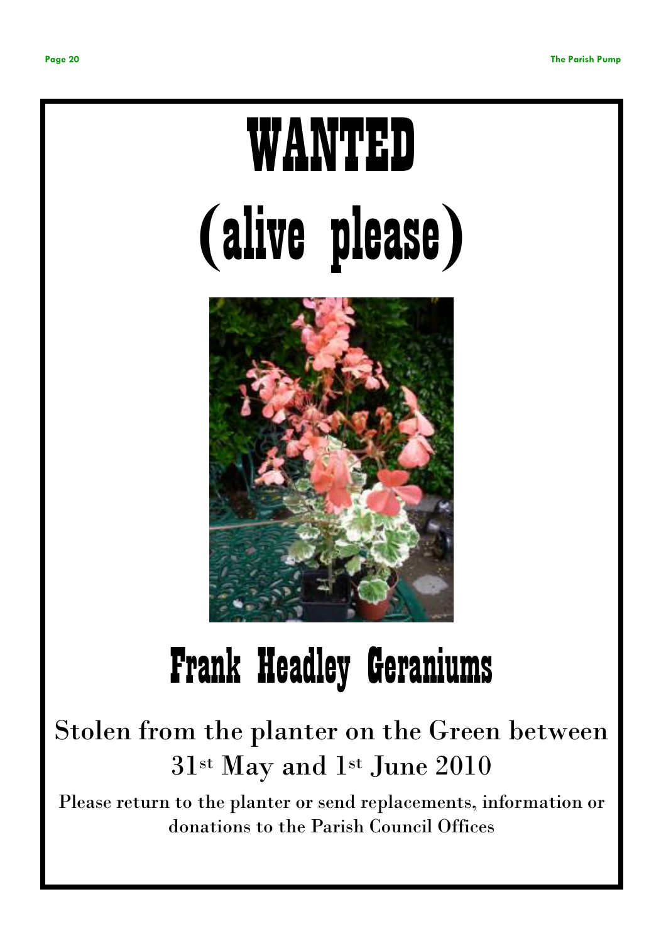# WANTED (alive please)



# Frank Headley Geraniums

# Stolen from the planter on the Green between 31st May and 1st June 2010

Please return to the planter or send replacements, information or donations to the Parish Council Offices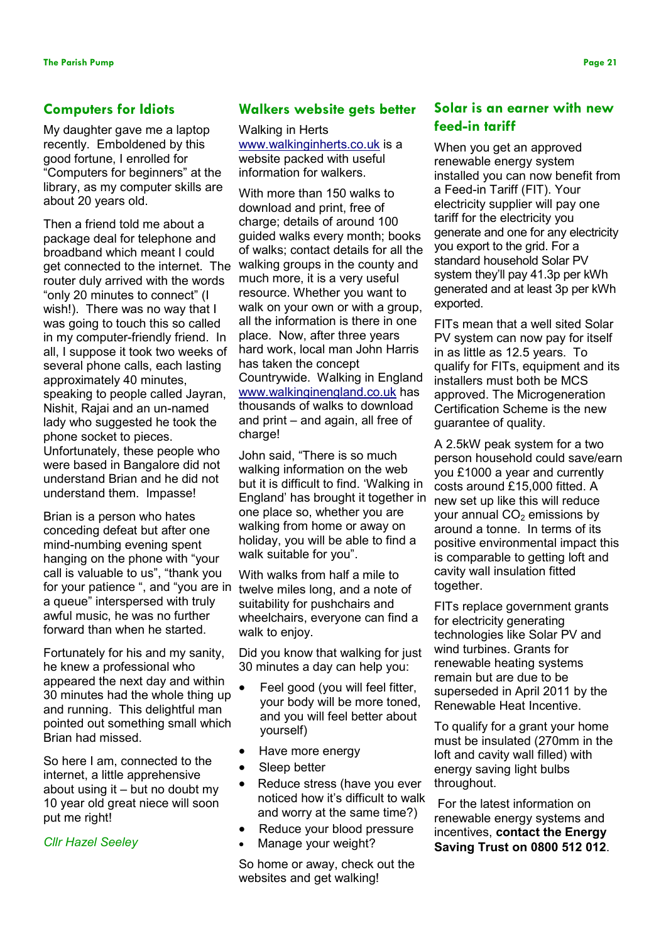## Computers for Idiots

My daughter gave me a laptop recently. Emboldened by this good fortune, I enrolled for "Computers for beginners" at the library, as my computer skills are about 20 years old.

Then a friend told me about a package deal for telephone and broadband which meant I could get connected to the internet. The router duly arrived with the words "only 20 minutes to connect" (I wish!). There was no way that I was going to touch this so called in my computer-friendly friend. In all, I suppose it took two weeks of several phone calls, each lasting approximately 40 minutes, speaking to people called Jayran, Nishit, Rajai and an un-named lady who suggested he took the phone socket to pieces. Unfortunately, these people who were based in Bangalore did not understand Brian and he did not understand them. Impasse!

Brian is a person who hates conceding defeat but after one mind-numbing evening spent hanging on the phone with "your call is valuable to us", "thank you for your patience ", and "you are in a queue" interspersed with truly awful music, he was no further forward than when he started.

Fortunately for his and my sanity, he knew a professional who appeared the next day and within 30 minutes had the whole thing up and running. This delightful man pointed out something small which Brian had missed.

So here I am, connected to the internet, a little apprehensive about using it – but no doubt my 10 year old great niece will soon put me right!

Cllr Hazel Seeley

## Walkers website gets better

Walking in Herts www.walkinginherts.co.uk is a website packed with useful information for walkers.

With more than 150 walks to download and print, free of charge; details of around 100 guided walks every month; books of walks; contact details for all the walking groups in the county and much more, it is a very useful resource. Whether you want to walk on your own or with a group, all the information is there in one place. Now, after three years hard work, local man John Harris has taken the concept Countrywide. Walking in England www.walkinginengland.co.uk has thousands of walks to download and print – and again, all free of charge!

John said, "There is so much walking information on the web but it is difficult to find. 'Walking in England' has brought it together in one place so, whether you are walking from home or away on holiday, you will be able to find a walk suitable for you".

With walks from half a mile to twelve miles long, and a note of suitability for pushchairs and wheelchairs, everyone can find a walk to enjoy.

Did you know that walking for just 30 minutes a day can help you:

- Feel good (you will feel fitter, your body will be more toned, and you will feel better about yourself)
- Have more energy
- Sleep better
- Reduce stress (have you ever noticed how it's difficult to walk and worry at the same time?)
- Reduce your blood pressure
- Manage your weight?

So home or away, check out the websites and get walking!

# Solar is an earner with new feed-in tariff

When you get an approved renewable energy system installed you can now benefit from a Feed-in Tariff (FIT). Your electricity supplier will pay one tariff for the electricity you generate and one for any electricity you export to the grid. For a standard household Solar PV system they'll pay 41.3p per kWh generated and at least 3p per kWh exported.

FITs mean that a well sited Solar PV system can now pay for itself in as little as 12.5 years. To qualify for FITs, equipment and its installers must both be MCS approved. The Microgeneration Certification Scheme is the new guarantee of quality.

A 2.5kW peak system for a two person household could save/earn you £1000 a year and currently costs around £15,000 fitted. A new set up like this will reduce your annual  $CO<sub>2</sub>$  emissions by around a tonne. In terms of its positive environmental impact this is comparable to getting loft and cavity wall insulation fitted together.

FITs replace government grants for electricity generating technologies like Solar PV and wind turbines. Grants for renewable heating systems remain but are due to be superseded in April 2011 by the Renewable Heat Incentive.

To qualify for a grant your home must be insulated (270mm in the loft and cavity wall filled) with energy saving light bulbs throughout.

 For the latest information on renewable energy systems and incentives, contact the Energy Saving Trust on 0800 512 012.